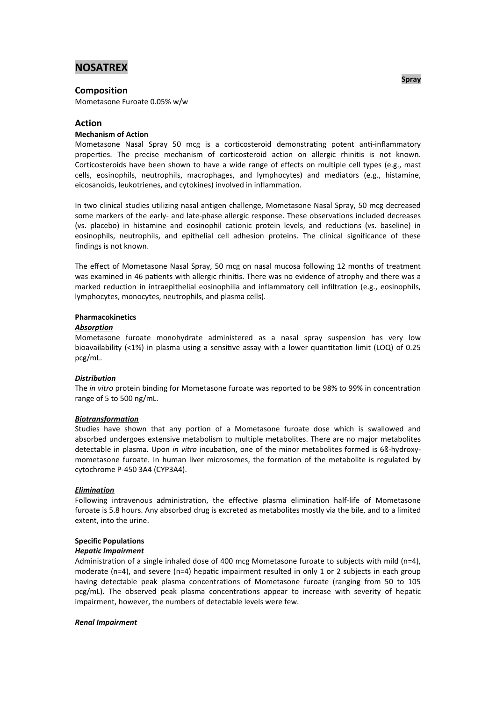# **NOSATREX**

## **Composition**

Mometasone Furoate 0.05% w/w

## **Action**

## **Mechanism of Action**

Mometasone Nasal Spray 50 mcg is a corticosteroid demonstrating potent anti-inflammatory properties. The precise mechanism of corticosteroid action on allergic rhinitis is not known. Corticosteroids have been shown to have a wide range of effects on multiple cell types (e.g., mast cells, eosinophils, neutrophils, macrophages, and lymphocytes) and mediators (e.g., histamine, eicosanoids, leukotrienes, and cytokines) involved in inflammation.

In two clinical studies utilizing nasal antigen challenge, Mometasone Nasal Spray, 50 mcg decreased some markers of the early- and late-phase allergic response. These observations included decreases (vs. placebo) in histamine and eosinophil cationic protein levels, and reductions (vs. baseline) in eosinophils, neutrophils, and epithelial cell adhesion proteins. The clinical significance of these findings is not known.

The effect of Mometasone Nasal Spray, 50 mcg on nasal mucosa following 12 months of treatment was examined in 46 patients with allergic rhinitis. There was no evidence of atrophy and there was a marked reduction in intraepithelial eosinophilia and inflammatory cell infiltration (e.g., eosinophils, lymphocytes, monocytes, neutrophils, and plasma cells).

## **Pharmacokinetics**

## *Absorption*

Mometasone furoate monohydrate administered as a nasal spray suspension has very low bioavailability (<1%) in plasma using a sensitive assay with a lower quantitation limit (LOQ) of 0.25 pcg/mL.

## *Distribution*

The *in vitro* protein binding for Mometasone furoate was reported to be 98% to 99% in concentration range of 5 to 500 ng/mL.

## *Biotransformation*

Studies have shown that any portion of a Mometasone furoate dose which is swallowed and absorbed undergoes extensive metabolism to multiple metabolites. There are no major metabolites detectable in plasma. Upon *in vitro* incubation, one of the minor metabolites formed is 6ß-hydroxymometasone furoate. In human liver microsomes, the formation of the metabolite is regulated by cytochrome P-450 3A4 (CYP3A4).

#### *Elimination*

Following intravenous administration, the effective plasma elimination half-life of Mometasone furoate is 5.8 hours. Any absorbed drug is excreted as metabolites mostly via the bile, and to a limited extent, into the urine.

## **Specific Populations**

## *Hepatic Impairment*

Administration of a single inhaled dose of 400 mcg Mometasone furoate to subjects with mild (n=4). moderate (n=4), and severe (n=4) hepatic impairment resulted in only 1 or 2 subjects in each group having detectable peak plasma concentrations of Mometasone furoate (ranging from 50 to 105 pcg/mL). The observed peak plasma concentrations appear to increase with severity of hepatic impairment, however, the numbers of detectable levels were few.

## *Renal Impairment*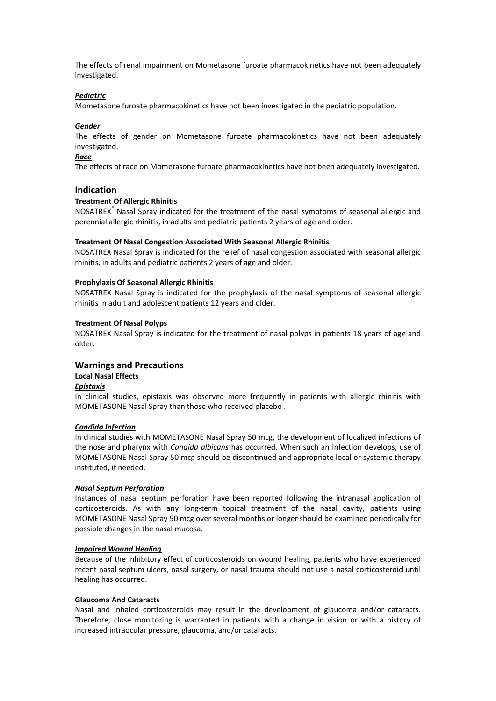The effects of renal impairment on Mometasone furoate pharmacokinetics have not been adequately investigated.

#### *Pediatric*

Mometasone furoate pharmacokinetics have not been investigated in the pediatric population.

### *Gender*

The effects of gender on Mometasone furoate pharmacokinetics have not been adequately investigated.

#### *Race*

The effects of race on Mometasone furoate pharmacokinetics have not been adequately investigated.

## **Indication**

#### **Treatment Of Allergic Rhinitis**

NOSATREX® Nasal Spray indicated for the treatment of the nasal symptoms of seasonal allergic and perennial allergic rhinitis, in adults and pediatric patients 2 years of age and older.

#### **Treatment Of Nasal Congestion Associated With Seasonal Allergic Rhinitis**

NOSATREX Nasal Spray is indicated for the relief of nasal congestion associated with seasonal allergic rhinitis, in adults and pediatric patients 2 years of age and older.

#### **Prophylaxis Of Seasonal Allergic Rhinitis**

NOSATREX Nasal Spray is indicated for the prophylaxis of the nasal symptoms of seasonal allergic rhinitis in adult and adolescent patients 12 years and older.

#### **Treatment Of Nasal Polyps**

NOSATREX Nasal Spray is indicated for the treatment of nasal polyps in patients 18 years of age and older.

## **Warnings and Precautions**

## **Local Nasal Effects**

#### *Epistaxis*

In clinical studies, epistaxis was observed more frequently in patients with allergic rhinitis with MOMETASONE Nasal Spray than those who received placebo .

#### *Candida Infection*

In clinical studies with MOMETASONE Nasal Spray 50 mcg, the development of localized infections of the nose and pharynx with *Candida albicans* has occurred. When such an infection develops, use of MOMETASONE Nasal Spray 50 mcg should be discontinued and appropriate local or systemic therapy instituted, if needed.

#### *Nasal Septum Perforation*

Instances of nasal septum perforation have been reported following the intranasal application of corticosteroids. As with any long-term topical treatment of the nasal cavity, patients using MOMETASONE Nasal Spray 50 mcg over several months or longer should be examined periodically for possible changes in the nasal mucosa.

#### *Impaired Wound Healing*

Because of the inhibitory effect of corticosteroids on wound healing, patients who have experienced recent nasal septum ulcers, nasal surgery, or nasal trauma should not use a nasal corticosteroid until healing has occurred.

#### **Glaucoma And Cataracts**

Nasal and inhaled corticosteroids may result in the development of glaucoma and/or cataracts. Therefore, close monitoring is warranted in patients with a change in vision or with a history of increased intraocular pressure, glaucoma, and/or cataracts.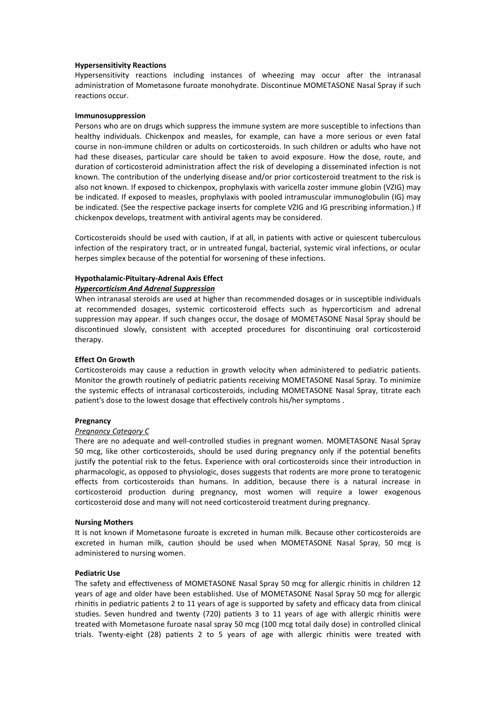#### **Hypersensitivity Reactions**

Hypersensitivity reactions including instances of wheezing may occur after the intranasal administration of Mometasone furoate monohydrate. Discontinue MOMETASONE Nasal Spray if such reactions occur.

#### **Immunosuppression**

Persons who are on drugs which suppress the immune system are more susceptible to infections than healthy individuals. Chickenpox and measles, for example, can have a more serious or even fatal course in non-immune children or adults on corticosteroids. In such children or adults who have not had these diseases, particular care should be taken to avoid exposure. How the dose, route, and duration of corticosteroid administration affect the risk of developing a disseminated infection is not known. The contribution of the underlying disease and/or prior corticosteroid treatment to the risk is also not known. If exposed to chickenpox, prophylaxis with varicella zoster immune globin (VZIG) may be indicated. If exposed to measles, prophylaxis with pooled intramuscular immunoglobulin (IG) may be indicated. (See the respective package inserts for complete VZIG and IG prescribing information.) If chickenpox develops, treatment with antiviral agents may be considered.

Corticosteroids should be used with caution, if at all, in patients with active or quiescent tuberculous infection of the respiratory tract, or in untreated fungal, bacterial, systemic viral infections, or ocular herpes simplex because of the potential for worsening of these infections.

#### **Hypothalamic-Pituitary-Adrenal Axis Effect** *Hypercorticism And Adrenal Suppression*

When intranasal steroids are used at higher than recommended dosages or in susceptible individuals at recommended dosages, systemic corticosteroid effects such as hypercorticism and adrenal suppression may appear. If such changes occur, the dosage of MOMETASONE Nasal Spray should be discontinued slowly, consistent with accepted procedures for discontinuing oral corticosteroid therapy.

#### **Effect On Growth**

Corticosteroids may cause a reduction in growth velocity when administered to pediatric patients. Monitor the growth routinely of pediatric patients receiving MOMETASONE Nasal Spray. To minimize the systemic effects of intranasal corticosteroids, including MOMETASONE Nasal Spray, titrate each patient's dose to the lowest dosage that effectively controls his/her symptoms .

#### **Pregnancy**

#### *Pregnancy Category C*

There are no adequate and well-controlled studies in pregnant women. MOMETASONE Nasal Spray 50 mcg, like other corticosteroids, should be used during pregnancy only if the potential benefits justify the potential risk to the fetus. Experience with oral corticosteroids since their introduction in pharmacologic, as opposed to physiologic, doses suggests that rodents are more prone to teratogenic effects from corticosteroids than humans. In addition, because there is a natural increase in corticosteroid production during pregnancy, most women will require a lower exogenous corticosteroid dose and many will not need corticosteroid treatment during pregnancy.

#### **Nursing Mothers**

It is not known if Mometasone furoate is excreted in human milk. Because other corticosteroids are excreted in human milk, caution should be used when MOMETASONE Nasal Spray, 50 mcg is administered to nursing women.

#### **Pediatric Use**

The safety and effectiveness of MOMETASONE Nasal Spray 50 mcg for allergic rhinitis in children 12 years of age and older have been established. Use of MOMETASONE Nasal Spray 50 mcg for allergic rhinitis in pediatric patients 2 to 11 years of age is supported by safety and efficacy data from clinical studies. Seven hundred and twenty (720) patients 3 to 11 years of age with allergic rhinitis were treated with Mometasone furoate nasal spray 50 mcg (100 mcg total daily dose) in controlled clinical trials. Twenty-eight (28) patients 2 to 5 years of age with allergic rhinitis were treated with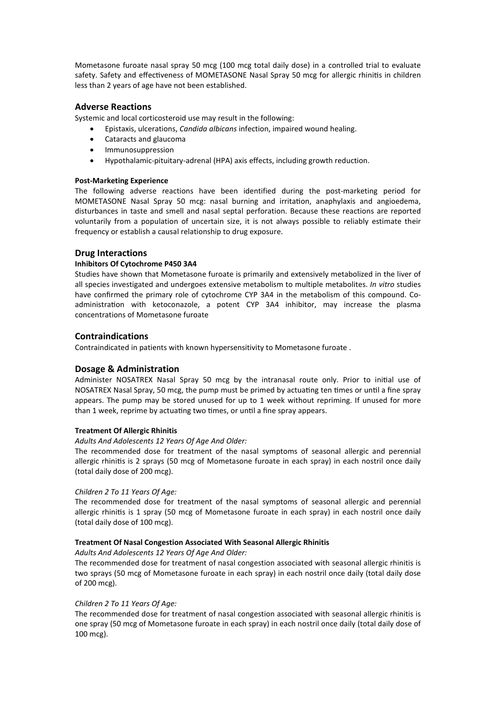Mometasone furoate nasal spray 50 mcg (100 mcg total daily dose) in a controlled trial to evaluate safety. Safety and effectiveness of MOMETASONE Nasal Spray 50 mcg for allergic rhinitis in children less than 2 years of age have not been established.

## **Adverse Reactions**

Systemic and local corticosteroid use may result in the following:

- Epistaxis, ulcerations, *Candida albicans* infection, impaired wound healing.
- Cataracts and glaucoma
- Immunosuppression
- Hypothalamic-pituitary-adrenal (HPA) axis effects, including growth reduction.

#### **Post-Marketing Experience**

The following adverse reactions have been identified during the post-marketing period for MOMETASONE Nasal Spray 50 mcg: nasal burning and irritation, anaphylaxis and angioedema, disturbances in taste and smell and nasal septal perforation. Because these reactions are reported voluntarily from a population of uncertain size, it is not always possible to reliably estimate their frequency or establish a causal relationship to drug exposure.

## **Drug Interactions**

#### **Inhibitors Of Cytochrome P450 3A4**

Studies have shown that Mometasone furoate is primarily and extensively metabolized in the liver of all species investigated and undergoes extensive metabolism to multiple metabolites. *In vitro* studies have confirmed the primary role of cytochrome CYP 3A4 in the metabolism of this compound. Coadministration with ketoconazole, a potent CYP 3A4 inhibitor, may increase the plasma concentrations of Mometasone furoate

## **Contraindications**

Contraindicated in patients with known hypersensitivity to Mometasone furoate .

## **Dosage & Administration**

Administer NOSATREX Nasal Spray 50 mcg by the intranasal route only. Prior to initial use of NOSATREX Nasal Spray, 50 mcg, the pump must be primed by actuating ten times or until a fine spray appears. The pump may be stored unused for up to 1 week without repriming. If unused for more than 1 week, reprime by actuating two times, or until a fine spray appears.

#### **Treatment Of Allergic Rhinitis**

#### *Adults And Adolescents 12 Years Of Age And Older:*

The recommended dose for treatment of the nasal symptoms of seasonal allergic and perennial allergic rhinitis is 2 sprays (50 mcg of Mometasone furoate in each spray) in each nostril once daily (total daily dose of 200 mcg).

#### *Children 2 To 11 Years Of Age:*

The recommended dose for treatment of the nasal symptoms of seasonal allergic and perennial allergic rhinitis is 1 spray (50 mcg of Mometasone furoate in each spray) in each nostril once daily (total daily dose of 100 mcg).

#### **Treatment Of Nasal Congestion Associated With Seasonal Allergic Rhinitis**

## *Adults And Adolescents 12 Years Of Age And Older:*

The recommended dose for treatment of nasal congestion associated with seasonal allergic rhinitis is two sprays (50 mcg of Mometasone furoate in each spray) in each nostril once daily (total daily dose of 200 mcg).

#### *Children 2 To 11 Years Of Age:*

The recommended dose for treatment of nasal congestion associated with seasonal allergic rhinitis is one spray (50 mcg of Mometasone furoate in each spray) in each nostril once daily (total daily dose of 100 mcg).